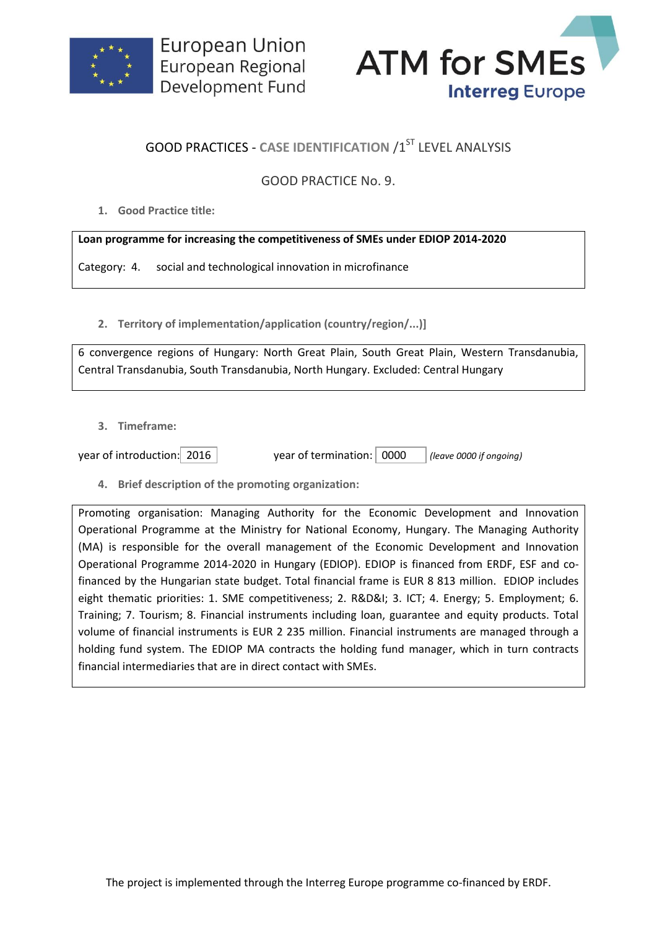



## **GOOD PRACTICES - CASE IDENTIFICATION /1ST LEVEL ANALYSIS**

## GOOD PRACTICE No. 9.

**1. Good Practice title:**

## **Loan programme for increasing the competitiveness of SMEs under EDIOP 2014-2020**

Category: 4. social and technological innovation in microfinance

**2. Territory of implementation/application (country/region/...)]**

6 convergence regions of Hungary: North Great Plain, South Great Plain, Western Transdanubia, Central Transdanubia, South Transdanubia, North Hungary. Excluded: Central Hungary

**3. Timeframe:**

year of introduction: 2016 year of termination: 0000 *(leave 0000 if ongoing)*

**4. Brief description of the promoting organization:**

Promoting organisation: Managing Authority for the Economic Development and Innovation Operational Programme at the Ministry for National Economy, Hungary. The Managing Authority (MA) is responsible for the overall management of the Economic Development and Innovation Operational Programme 2014-2020 in Hungary (EDIOP). EDIOP is financed from ERDF, ESF and cofinanced by the Hungarian state budget. Total financial frame is EUR 8 813 million. EDIOP includes eight thematic priorities: 1. SME competitiveness; 2. R&D&I; 3. ICT; 4. Energy; 5. Employment; 6. Training; 7. Tourism; 8. Financial instruments including loan, guarantee and equity products. Total volume of financial instruments is EUR 2 235 million. Financial instruments are managed through a holding fund system. The EDIOP MA contracts the holding fund manager, which in turn contracts financial intermediaries that are in direct contact with SMEs.